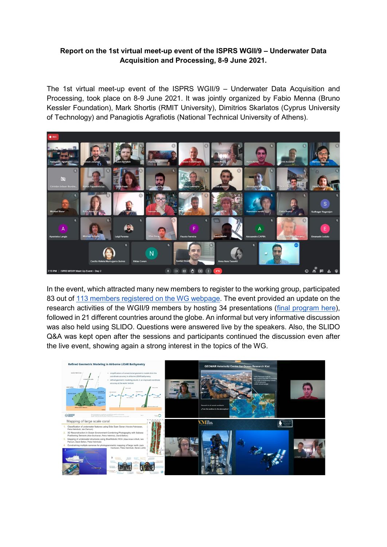## **Report on the 1st virtual meet-up event of the ISPRS WGII/9 – Underwater Data Acquisition and Processing, 8-9 June 2021.**

The 1st virtual meet-up event of the ISPRS WGII/9 – Underwater Data Acquisition and Processing, took place on 8-9 June 2021. It was jointly organized by Fabio Menna (Bruno Kessler Foundation), Mark Shortis (RMIT University), Dimitrios Skarlatos (Cyprus University of Technology) and Panagiotis Agrafiotis (National Technical University of Athens).



In the event, which attracted many new members to register to the working group, participated 83 out of [113 members registered on the WG webpage.](https://www2.isprs.org/commissions/comm2/wg9/members/) The event provided an update on the research activities of the WGII/9 members by hosting 34 presentations [\(final program here\)](https://drive.google.com/file/d/1RaJpuOVTiY5h6UmIn2TdkLxsdwPP7URE/view?usp=sharing), followed in 21 different countries around the globe. An informal but very informative discussion was also held using SLIDO. Questions were answered live by the speakers. Also, the SLIDO Q&A was kept open after the sessions and participants continued the discussion even after the live event, showing again a strong interest in the topics of the WG.